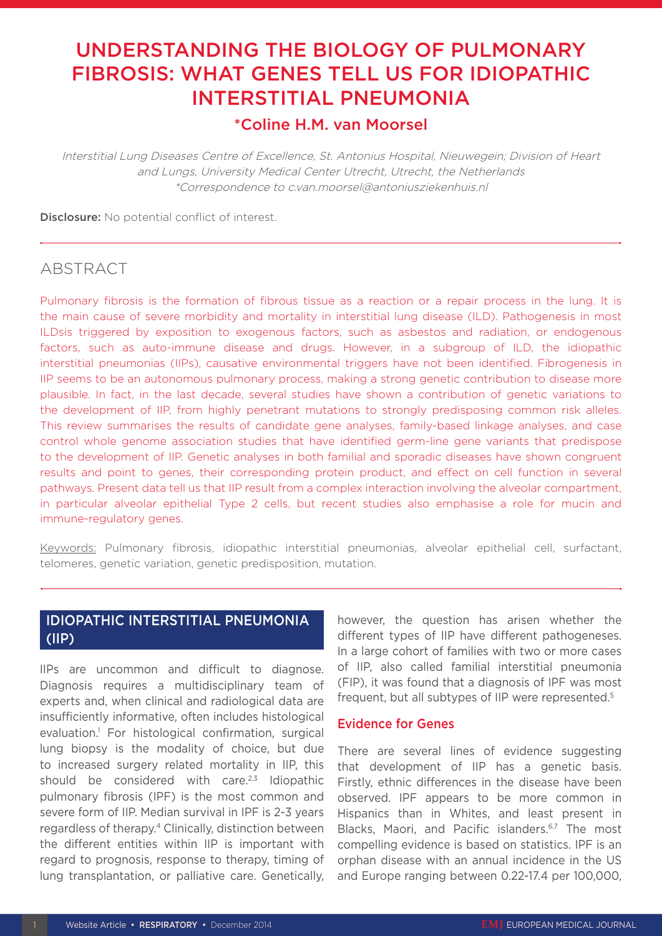# UNDERSTANDING THE BIOLOGY OF PULMONARY FIBROSIS: WHAT GENES TELL US FOR IDIOPATHIC INTERSTITIAL PNEUMONIA

### \*Coline H.M. van Moorsel

Interstitial Lung Diseases Centre of Excellence, St. Antonius Hospital, Nieuwegein; Division of Heart and Lungs, University Medical Center Utrecht, Utrecht, the Netherlands \*Correspondence to c.van.moorsel@antoniusziekenhuis.nl

Disclosure: No potential conflict of interest.

# ABSTRACT

Pulmonary fibrosis is the formation of fibrous tissue as a reaction or a repair process in the lung. It is the main cause of severe morbidity and mortality in interstitial lung disease (ILD). Pathogenesis in most ILDsis triggered by exposition to exogenous factors, such as asbestos and radiation, or endogenous factors, such as auto-immune disease and drugs. However, in a subgroup of ILD, the idiopathic interstitial pneumonias (IIPs), causative environmental triggers have not been identified. Fibrogenesis in IIP seems to be an autonomous pulmonary process, making a strong genetic contribution to disease more plausible. In fact, in the last decade, several studies have shown a contribution of genetic variations to the development of IIP, from highly penetrant mutations to strongly predisposing common risk alleles. This review summarises the results of candidate gene analyses, family-based linkage analyses, and case control whole genome association studies that have identified germ-line gene variants that predispose to the development of IIP. Genetic analyses in both familial and sporadic diseases have shown congruent results and point to genes, their corresponding protein product, and effect on cell function in several pathways. Present data tell us that IIP result from a complex interaction involving the alveolar compartment, in particular alveolar epithelial Type 2 cells, but recent studies also emphasise a role for mucin and immune-regulatory genes.

Keywords: Pulmonary fibrosis, idiopathic interstitial pneumonias, alveolar epithelial cell, surfactant, telomeres, genetic variation, genetic predisposition, mutation.

### IDIOPATHIC INTERSTITIAL PNEUMONIA (IIP)

IIPs are uncommon and difficult to diagnose. Diagnosis requires a multidisciplinary team of experts and, when clinical and radiological data are insufficiently informative, often includes histological evaluation.1 For histological confirmation, surgical lung biopsy is the modality of choice, but due to increased surgery related mortality in IIP, this should be considered with care. $2,3$  Idiopathic pulmonary fibrosis (IPF) is the most common and severe form of IIP. Median survival in IPF is 2-3 years regardless of therapy.4 Clinically, distinction between the different entities within IIP is important with regard to prognosis, response to therapy, timing of lung transplantation, or palliative care. Genetically,

however, the question has arisen whether the different types of IIP have different pathogeneses. In a large cohort of families with two or more cases of IIP, also called familial interstitial pneumonia (FIP), it was found that a diagnosis of IPF was most frequent, but all subtypes of IIP were represented.5

#### Evidence for Genes

There are several lines of evidence suggesting that development of IIP has a genetic basis. Firstly, ethnic differences in the disease have been observed. IPF appears to be more common in Hispanics than in Whites, and least present in Blacks, Maori, and Pacific islanders.<sup>6,7</sup> The most compelling evidence is based on statistics. IPF is an orphan disease with an annual incidence in the US and Europe ranging between 0.22-17.4 per 100,000,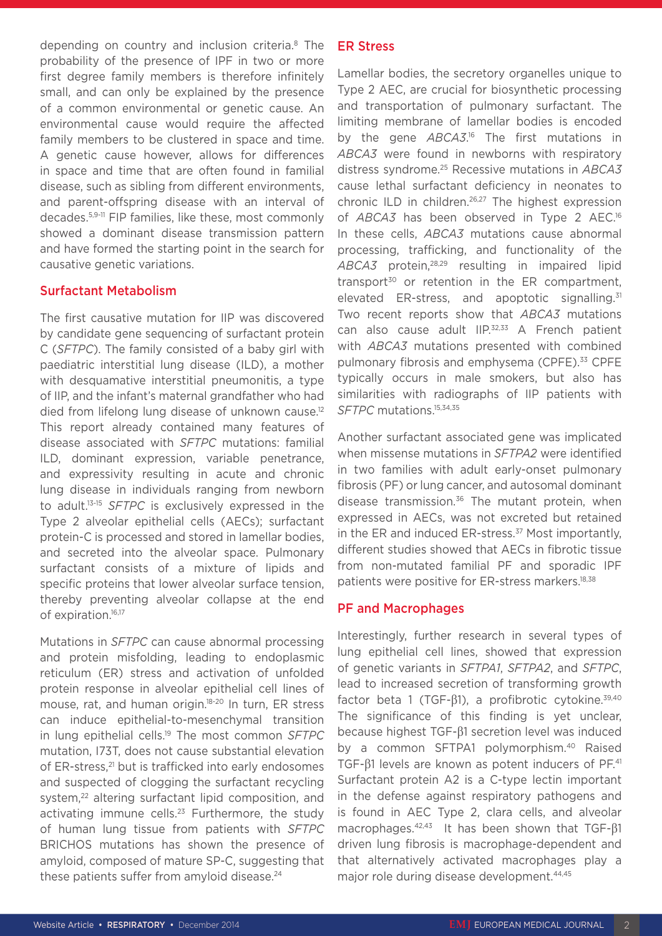depending on country and inclusion criteria.<sup>8</sup> The probability of the presence of IPF in two or more first degree family members is therefore infinitely small, and can only be explained by the presence of a common environmental or genetic cause. An environmental cause would require the affected family members to be clustered in space and time. A genetic cause however, allows for differences in space and time that are often found in familial disease, such as sibling from different environments, and parent-offspring disease with an interval of decades.5,9-11 FIP families, like these, most commonly showed a dominant disease transmission pattern and have formed the starting point in the search for causative genetic variations.

#### Surfactant Metabolism

The first causative mutation for IIP was discovered by candidate gene sequencing of surfactant protein C (*SFTPC*). The family consisted of a baby girl with paediatric interstitial lung disease (ILD), a mother with desquamative interstitial pneumonitis, a type of IIP, and the infant's maternal grandfather who had died from lifelong lung disease of unknown cause.<sup>12</sup> This report already contained many features of disease associated with *SFTPC* mutations: familial ILD, dominant expression, variable penetrance, and expressivity resulting in acute and chronic lung disease in individuals ranging from newborn to adult.13-15 *SFTPC* is exclusively expressed in the Type 2 alveolar epithelial cells (AECs); surfactant protein-C is processed and stored in lamellar bodies, and secreted into the alveolar space. Pulmonary surfactant consists of a mixture of lipids and specific proteins that lower alveolar surface tension, thereby preventing alveolar collapse at the end of expiration.<sup>16,17</sup>

Mutations in *SFTPC* can cause abnormal processing and protein misfolding, leading to endoplasmic reticulum (ER) stress and activation of unfolded protein response in alveolar epithelial cell lines of mouse, rat, and human origin.18-20 In turn, ER stress can induce epithelial-to-mesenchymal transition in lung epithelial cells.19 The most common *SFTPC* mutation, I73T, does not cause substantial elevation of ER-stress,<sup>21</sup> but is trafficked into early endosomes and suspected of clogging the surfactant recycling system,<sup>22</sup> altering surfactant lipid composition, and activating immune cells.<sup>23</sup> Furthermore, the study of human lung tissue from patients with *SFTPC* BRICHOS mutations has shown the presence of amyloid, composed of mature SP-C, suggesting that these patients suffer from amyloid disease.<sup>24</sup>

#### ER Stress

Lamellar bodies, the secretory organelles unique to Type 2 AEC, are crucial for biosynthetic processing and transportation of pulmonary surfactant. The limiting membrane of lamellar bodies is encoded by the gene *ABCA3*.<sup>16</sup> The first mutations in *ABCA3* were found in newborns with respiratory distress syndrome.25 Recessive mutations in *ABCA3* cause lethal surfactant deficiency in neonates to chronic ILD in children.26,27 The highest expression of *ABCA3* has been observed in Type 2 AEC.16 In these cells, *ABCA3* mutations cause abnormal processing, trafficking, and functionality of the *ABCA3* protein,28,29 resulting in impaired lipid transport $30$  or retention in the ER compartment, elevated ER-stress, and apoptotic signalling.<sup>31</sup> Two recent reports show that *ABCA3* mutations can also cause adult IIP.<sup>32,33</sup> A French patient with *ABCA3* mutations presented with combined pulmonary fibrosis and emphysema (CPFE).<sup>33</sup> CPFE typically occurs in male smokers, but also has similarities with radiographs of IIP patients with *SFTPC* mutations.15,34,35

Another surfactant associated gene was implicated when missense mutations in *SFTPA2* were identified in two families with adult early-onset pulmonary fibrosis (PF) or lung cancer, and autosomal dominant disease transmission.<sup>36</sup> The mutant protein, when expressed in AECs, was not excreted but retained in the ER and induced ER-stress.<sup>37</sup> Most importantly, different studies showed that AECs in fibrotic tissue from non-mutated familial PF and sporadic IPF patients were positive for ER-stress markers.<sup>18,38</sup>

### PF and Macrophages

Interestingly, further research in several types of lung epithelial cell lines, showed that expression of genetic variants in *SFTPA1*, *SFTPA2*, and *SFTPC*, lead to increased secretion of transforming growth factor beta 1 (TGF- $\beta$ 1), a profibrotic cytokine.<sup>39,40</sup> The significance of this finding is yet unclear, because highest TGF-β1 secretion level was induced by a common SFTPA1 polymorphism.<sup>40</sup> Raised TGF-β1 levels are known as potent inducers of PF.<sup>41</sup> Surfactant protein A2 is a C-type lectin important in the defense against respiratory pathogens and is found in AEC Type 2, clara cells, and alveolar macrophages.42,43 It has been shown that TGF-β1 driven lung fibrosis is macrophage-dependent and that alternatively activated macrophages play a major role during disease development.<sup>44,45</sup>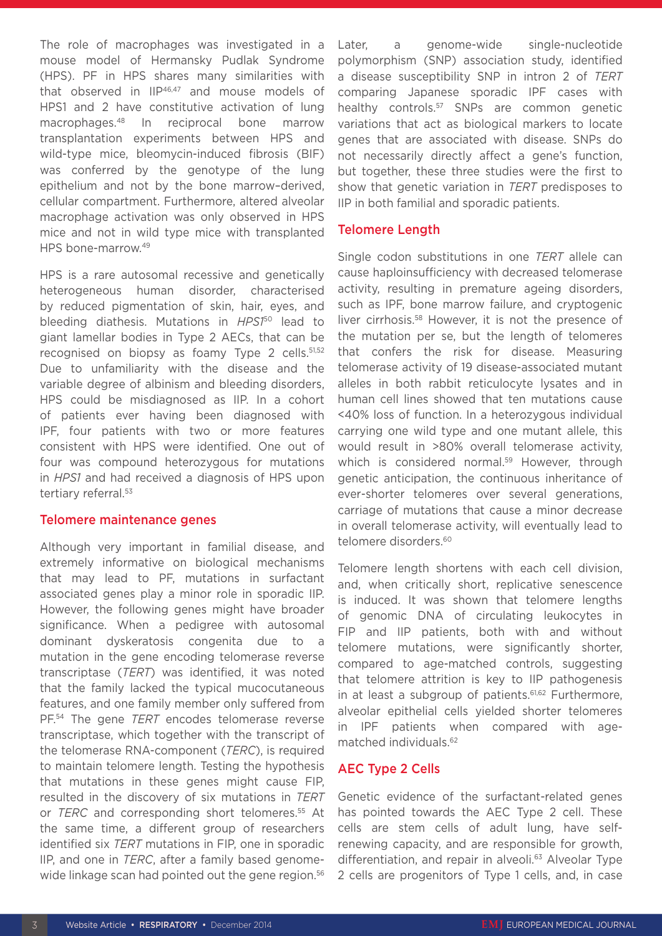The role of macrophages was investigated in a mouse model of Hermansky Pudlak Syndrome (HPS). PF in HPS shares many similarities with that observed in IIP<sup>46,47</sup> and mouse models of HPS1 and 2 have constitutive activation of lung macrophages.48 In reciprocal bone marrow transplantation experiments between HPS and wild-type mice, bleomycin-induced fibrosis (BIF) was conferred by the genotype of the lung epithelium and not by the bone marrow–derived, cellular compartment. Furthermore, altered alveolar macrophage activation was only observed in HPS mice and not in wild type mice with transplanted HPS bone-marrow.49

HPS is a rare autosomal recessive and genetically heterogeneous human disorder, characterised by reduced pigmentation of skin, hair, eyes, and bleeding diathesis. Mutations in *HPS1*50 lead to giant lamellar bodies in Type 2 AECs, that can be recognised on biopsy as foamy Type 2 cells. 51,52 Due to unfamiliarity with the disease and the variable degree of albinism and bleeding disorders, HPS could be misdiagnosed as IIP. In a cohort of patients ever having been diagnosed with IPF, four patients with two or more features consistent with HPS were identified. One out of four was compound heterozygous for mutations in *HPS1* and had received a diagnosis of HPS upon tertiary referral.<sup>53</sup>

#### Telomere maintenance genes

Although very important in familial disease, and extremely informative on biological mechanisms that may lead to PF, mutations in surfactant associated genes play a minor role in sporadic IIP. However, the following genes might have broader significance. When a pedigree with autosomal dominant dyskeratosis congenita due to a mutation in the gene encoding telomerase reverse transcriptase (*TERT*) was identified, it was noted that the family lacked the typical mucocutaneous features, and one family member only suffered from PF.54 The gene *TERT* encodes telomerase reverse transcriptase, which together with the transcript of the telomerase RNA-component (*TERC*), is required to maintain telomere length. Testing the hypothesis that mutations in these genes might cause FIP, resulted in the discovery of six mutations in *TERT* or *TERC* and corresponding short telomeres.<sup>55</sup> At the same time, a different group of researchers identified six *TERT* mutations in FIP, one in sporadic IIP, and one in *TERC*, after a family based genomewide linkage scan had pointed out the gene region.<sup>56</sup> Later, a genome-wide single-nucleotide polymorphism (SNP) association study, identified a disease susceptibility SNP in intron 2 of *TERT* comparing Japanese sporadic IPF cases with healthy controls.<sup>57</sup> SNPs are common genetic variations that act as biological markers to locate genes that are associated with disease. SNPs do not necessarily directly affect a gene's function, but together, these three studies were the first to show that genetic variation in *TERT* predisposes to IIP in both familial and sporadic patients.

#### Telomere Length

Single codon substitutions in one *TERT* allele can cause haploinsufficiency with decreased telomerase activity, resulting in premature ageing disorders, such as IPF, bone marrow failure, and cryptogenic liver cirrhosis.58 However, it is not the presence of the mutation per se, but the length of telomeres that confers the risk for disease. Measuring telomerase activity of 19 disease-associated mutant alleles in both rabbit reticulocyte lysates and in human cell lines showed that ten mutations cause <40% loss of function. In a heterozygous individual carrying one wild type and one mutant allele, this would result in >80% overall telomerase activity, which is considered normal.<sup>59</sup> However, through genetic anticipation, the continuous inheritance of ever-shorter telomeres over several generations, carriage of mutations that cause a minor decrease in overall telomerase activity, will eventually lead to telomere disorders.<sup>60</sup>

Telomere length shortens with each cell division, and, when critically short, replicative senescence is induced. It was shown that telomere lengths of genomic DNA of circulating leukocytes in FIP and IIP patients, both with and without telomere mutations, were significantly shorter, compared to age-matched controls, suggesting that telomere attrition is key to IIP pathogenesis in at least a subgroup of patients.<sup>61,62</sup> Furthermore, alveolar epithelial cells yielded shorter telomeres in IPF patients when compared with agematched individuals.62

#### AEC Type 2 Cells

Genetic evidence of the surfactant-related genes has pointed towards the AEC Type 2 cell. These cells are stem cells of adult lung, have selfrenewing capacity, and are responsible for growth, differentiation, and repair in alveoli.<sup>63</sup> Alveolar Type 2 cells are progenitors of Type 1 cells, and, in case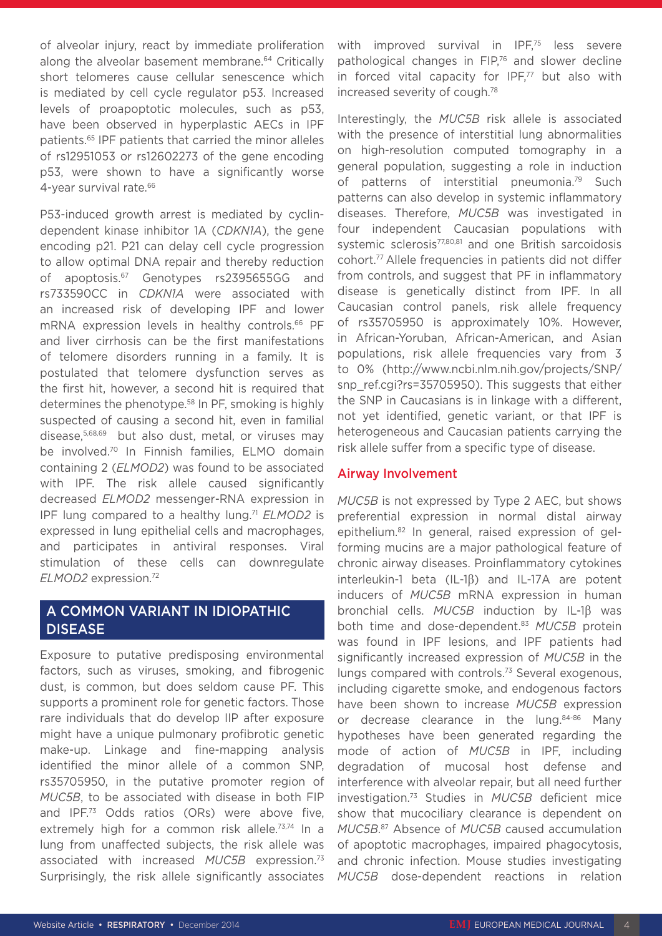of alveolar injury, react by immediate proliferation along the alveolar basement membrane.64 Critically short telomeres cause cellular senescence which is mediated by cell cycle regulator p53. Increased levels of proapoptotic molecules, such as p53, have been observed in hyperplastic AECs in IPF patients.65 IPF patients that carried the minor alleles of rs12951053 or rs12602273 of the gene encoding p53, were shown to have a significantly worse 4-year survival rate.<sup>66</sup>

P53-induced growth arrest is mediated by cyclindependent kinase inhibitor 1A (*CDKN1A*), the gene encoding p21. P21 can delay cell cycle progression to allow optimal DNA repair and thereby reduction of apoptosis.67 Genotypes rs2395655GG and rs733590CC in *CDKN1A* were associated with an increased risk of developing IPF and lower mRNA expression levels in healthy controls.<sup>66</sup> PF and liver cirrhosis can be the first manifestations of telomere disorders running in a family. It is postulated that telomere dysfunction serves as the first hit, however, a second hit is required that determines the phenotype.58 In PF, smoking is highly suspected of causing a second hit, even in familial disease,5,68,69 but also dust, metal, or viruses may be involved.70 In Finnish families, ELMO domain containing 2 (*ELMOD2*) was found to be associated with IPF. The risk allele caused significantly decreased *ELMOD2* messenger-RNA expression in IPF lung compared to a healthy lung.<sup>71</sup> *ELMOD2* is expressed in lung epithelial cells and macrophages, and participates in antiviral responses. Viral stimulation of these cells can downregulate *ELMOD2* expression.72

# A COMMON VARIANT IN IDIOPATHIC DISEASE

Exposure to putative predisposing environmental factors, such as viruses, smoking, and fibrogenic dust, is common, but does seldom cause PF. This supports a prominent role for genetic factors. Those rare individuals that do develop IIP after exposure might have a unique pulmonary profibrotic genetic make-up. Linkage and fine-mapping analysis identified the minor allele of a common SNP, rs35705950, in the putative promoter region of *MUC5B*, to be associated with disease in both FIP and IPF.73 Odds ratios (ORs) were above five, extremely high for a common risk allele.<sup>73,74</sup> In a lung from unaffected subjects, the risk allele was associated with increased *MUC5B* expression.73 Surprisingly, the risk allele significantly associates with improved survival in IPF,<sup>75</sup> less severe pathological changes in FIP,<sup>76</sup> and slower decline in forced vital capacity for IPF,<sup>77</sup> but also with increased severity of cough.78

Interestingly, the *MUC5B* risk allele is associated with the presence of interstitial lung abnormalities on high-resolution computed tomography in a general population, suggesting a role in induction of patterns of interstitial pneumonia.<sup>79</sup> Such patterns can also develop in systemic inflammatory diseases. Therefore, *MUC5B* was investigated in four independent Caucasian populations with systemic sclerosis<sup>77,80,81</sup> and one British sarcoidosis cohort.77 Allele frequencies in patients did not differ from controls, and suggest that PF in inflammatory disease is genetically distinct from IPF. In all Caucasian control panels, risk allele frequency of rs35705950 is approximately 10%. However, in African-Yoruban, African-American, and Asian populations, risk allele frequencies vary from 3 to 0% (http://www.ncbi.nlm.nih.gov/projects/SNP/ snp\_ref.cgi?rs=35705950). This suggests that either the SNP in Caucasians is in linkage with a different, not yet identified, genetic variant, or that IPF is heterogeneous and Caucasian patients carrying the risk allele suffer from a specific type of disease.

#### Airway Involvement

*MUC5B* is not expressed by Type 2 AEC, but shows preferential expression in normal distal airway epithelium.82 In general, raised expression of gelforming mucins are a major pathological feature of chronic airway diseases. Proinflammatory cytokines interleukin-1 beta (IL-1β) and IL-17A are potent inducers of *MUC5B* mRNA expression in human bronchial cells. *MUC5B* induction by IL-1β was both time and dose-dependent.83 *MUC5B* protein was found in IPF lesions, and IPF patients had significantly increased expression of *MUC5B* in the lungs compared with controls.<sup>73</sup> Several exogenous, including cigarette smoke, and endogenous factors have been shown to increase *MUC5B* expression or decrease clearance in the lung.<sup>84-86</sup> Many hypotheses have been generated regarding the mode of action of *MUC5B* in IPF, including degradation of mucosal host defense and interference with alveolar repair, but all need further investigation.73 Studies in *MUC5B* deficient mice show that mucociliary clearance is dependent on *MUC5B*. 87 Absence of *MUC5B* caused accumulation of apoptotic macrophages, impaired phagocytosis, and chronic infection. Mouse studies investigating *MUC5B* dose-dependent reactions in relation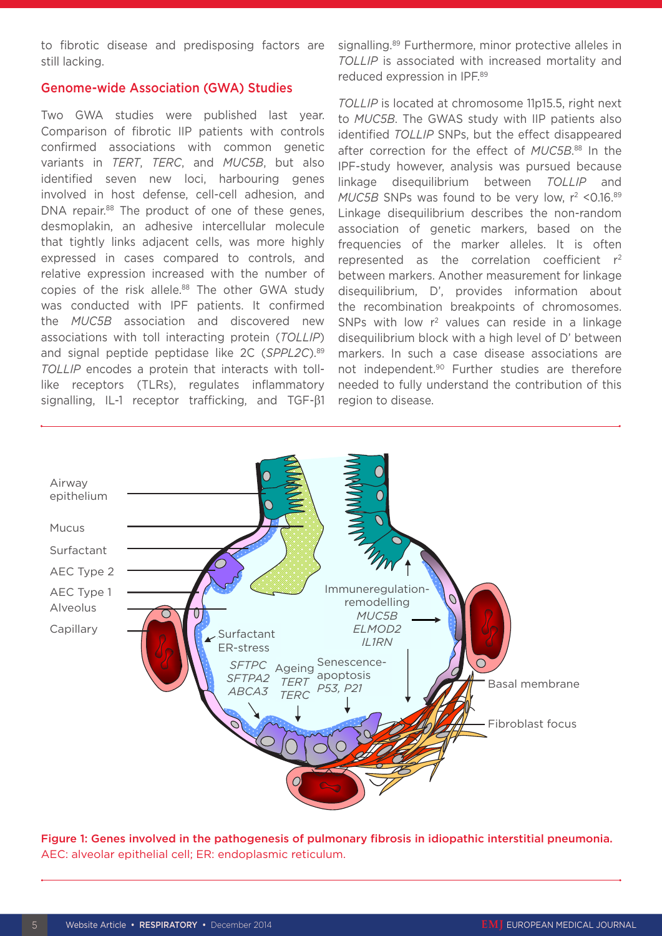to fibrotic disease and predisposing factors are still lacking.

#### Genome-wide Association (GWA) Studies

Two GWA studies were published last year. Comparison of fibrotic IIP patients with controls confirmed associations with common genetic variants in *TERT*, *TERC*, and *MUC5B*, but also identified seven new loci, harbouring genes involved in host defense, cell-cell adhesion, and DNA repair.<sup>88</sup> The product of one of these genes, desmoplakin, an adhesive intercellular molecule that tightly links adjacent cells, was more highly expressed in cases compared to controls, and relative expression increased with the number of copies of the risk allele.<sup>88</sup> The other GWA study was conducted with IPF patients. It confirmed the *MUC5B* association and discovered new associations with toll interacting protein (*TOLLIP*) and signal peptide peptidase like 2C (*SPPL2C*).89 *TOLLIP* encodes a protein that interacts with tolllike receptors (TLRs), regulates inflammatory signalling, IL-1 receptor trafficking, and TGF-β1

signalling.<sup>89</sup> Furthermore, minor protective alleles in *TOLLIP* is associated with increased mortality and reduced expression in IPF.89

*TOLLIP* is located at chromosome 11p15.5, right next to *MUC5B*. The GWAS study with IIP patients also identified *TOLLIP* SNPs, but the effect disappeared after correction for the effect of *MUC5B*. 88 In the IPF-study however, analysis was pursued because linkage disequilibrium between *TOLLIP* and *MUC5B* SNPs was found to be very low,  $r^2$  <0.16.89 Linkage disequilibrium describes the non-random association of genetic markers, based on the frequencies of the marker alleles. It is often represented as the correlation coefficient  $r^2$ between markers. Another measurement for linkage disequilibrium, D', provides information about the recombination breakpoints of chromosomes. SNPs with low  $r^2$  values can reside in a linkage disequilibrium block with a high level of D' between markers. In such a case disease associations are not independent.<sup>90</sup> Further studies are therefore needed to fully understand the contribution of this region to disease.



Figure 1: Genes involved in the pathogenesis of pulmonary fibrosis in idiopathic interstitial pneumonia. AEC: alveolar epithelial cell; ER: endoplasmic reticulum.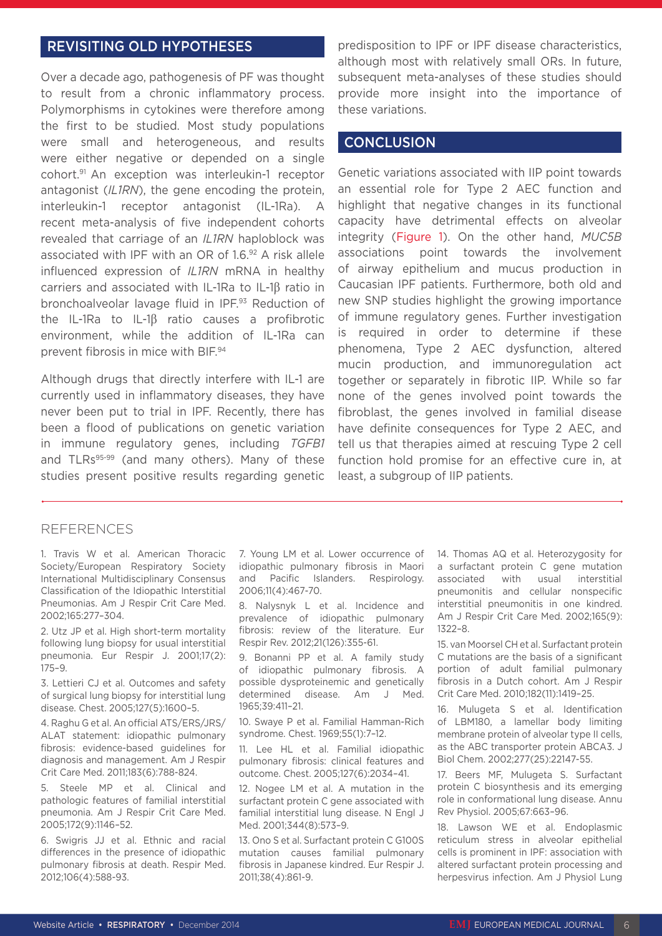### REVISITING OLD HYPOTHESES

Over a decade ago, pathogenesis of PF was thought to result from a chronic inflammatory process. Polymorphisms in cytokines were therefore among the first to be studied. Most study populations were small and heterogeneous, and results were either negative or depended on a single cohort.91 An exception was interleukin-1 receptor antagonist (*IL1RN*), the gene encoding the protein, interleukin-1 receptor antagonist (IL-1Ra). A recent meta-analysis of five independent cohorts revealed that carriage of an *IL1RN* haploblock was associated with IPF with an OR of 1.6.92 A risk allele influenced expression of *IL1RN* mRNA in healthy carriers and associated with IL-1Ra to IL-1β ratio in bronchoalveolar lavage fluid in IPF.93 Reduction of the IL-1Ra to IL-1β ratio causes a profibrotic environment, while the addition of IL-1Ra can prevent fibrosis in mice with BIF.94

Although drugs that directly interfere with IL-1 are currently used in inflammatory diseases, they have never been put to trial in IPF. Recently, there has been a flood of publications on genetic variation in immune regulatory genes, including *TGFB1* and TLRs<sup>95-99</sup> (and many others). Many of these studies present positive results regarding genetic

predisposition to IPF or IPF disease characteristics, although most with relatively small ORs. In future, subsequent meta-analyses of these studies should provide more insight into the importance of these variations.

### **CONCLUSION**

Genetic variations associated with IIP point towards an essential role for Type 2 AEC function and highlight that negative changes in its functional capacity have detrimental effects on alveolar integrity (Figure 1). On the other hand, *MUC5B* associations point towards the involvement of airway epithelium and mucus production in Caucasian IPF patients. Furthermore, both old and new SNP studies highlight the growing importance of immune regulatory genes. Further investigation is required in order to determine if these phenomena, Type 2 AEC dysfunction, altered mucin production, and immunoregulation act together or separately in fibrotic IIP. While so far none of the genes involved point towards the fibroblast, the genes involved in familial disease have definite consequences for Type 2 AEC, and tell us that therapies aimed at rescuing Type 2 cell function hold promise for an effective cure in, at least, a subgroup of IIP patients.

### REFERENCES

1. Travis W et al. American Thoracic Society/European Respiratory Society International Multidisciplinary Consensus Classification of the Idiopathic Interstitial Pneumonias. Am J Respir Crit Care Med. 2002;165:277–304.

2. Utz JP et al. High short-term mortality following lung biopsy for usual interstitial pneumonia. Eur Respir J. 2001;17(2): 175–9.

3. Lettieri CJ et al. Outcomes and safety of surgical lung biopsy for interstitial lung disease. Chest. 2005;127(5):1600–5.

4. Raghu G et al. An official ATS/ERS/JRS/ ALAT statement: idiopathic pulmonary fibrosis: evidence-based guidelines for diagnosis and management. Am J Respir Crit Care Med. 2011;183(6):788-824.

5. Steele MP et al. Clinical and pathologic features of familial interstitial pneumonia. Am J Respir Crit Care Med. 2005;172(9):1146–52.

6. Swigris JJ et al. Ethnic and racial differences in the presence of idiopathic pulmonary fibrosis at death. Respir Med. 2012;106(4):588-93.

7. Young LM et al. Lower occurrence of idiopathic pulmonary fibrosis in Maori and Pacific Islanders. Respirology. 2006;11(4):467-70.

8. Nalysnyk L et al. Incidence and prevalence of idiopathic pulmonary fibrosis: review of the literature. Eur Respir Rev. 2012;21(126):355-61.

9. Bonanni PP et al. A family study of idiopathic pulmonary fibrosis. A possible dysproteinemic and genetically determined disease. Am J Med. 1965;39:411–21.

10. Swaye P et al. Familial Hamman-Rich syndrome. Chest. 1969;55(1):7–12.

11. Lee HL et al. Familial idiopathic pulmonary fibrosis: clinical features and outcome. Chest. 2005;127(6):2034–41.

12. Nogee LM et al. A mutation in the surfactant protein C gene associated with familial interstitial lung disease. N Engl J Med. 2001;344(8):573–9.

13. Ono S et al. Surfactant protein C G100S mutation causes familial pulmonary fibrosis in Japanese kindred. Eur Respir J. 2011;38(4):861-9.

14. Thomas AQ et al. Heterozygosity for a surfactant protein C gene mutation associated with usual interstitial pneumonitis and cellular nonspecific interstitial pneumonitis in one kindred. Am J Respir Crit Care Med. 2002;165(9): 1322–8.

15. van Moorsel CH et al. Surfactant protein C mutations are the basis of a significant portion of adult familial pulmonary fibrosis in a Dutch cohort. Am J Respir Crit Care Med. 2010;182(11):1419–25.

16. Mulugeta S et al. Identification of LBM180, a lamellar body limiting membrane protein of alveolar type II cells, as the ABC transporter protein ABCA3. J Biol Chem. 2002;277(25):22147-55.

17. Beers MF, Mulugeta S. Surfactant protein C biosynthesis and its emerging role in conformational lung disease. Annu Rev Physiol. 2005;67:663–96.

18. Lawson WE et al. Endoplasmic reticulum stress in alveolar epithelial cells is prominent in IPF: association with altered surfactant protein processing and herpesvirus infection. Am J Physiol Lung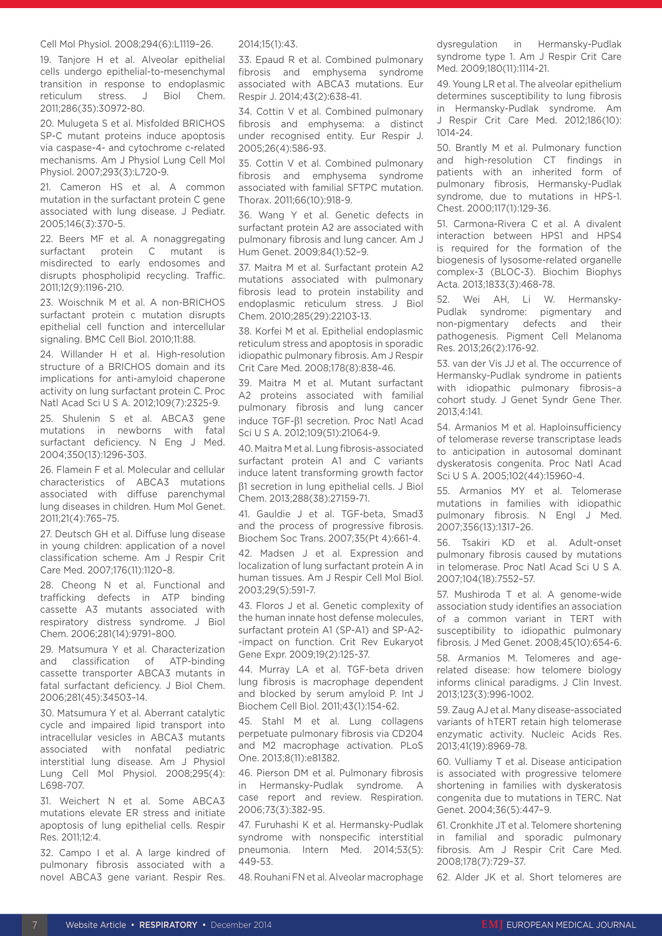#### Cell Mol Physiol. 2008;294(6):L1119–26.

19. Tanjore H et al. Alveolar epithelial cells undergo epithelial-to-mesenchymal transition in response to endoplasmic reticulum stress. J Biol Chem. 2011;286(35):30972-80.

20. Mulugeta S et al. Misfolded BRICHOS SP-C mutant proteins induce apoptosis via caspase-4- and cytochrome c-related mechanisms. Am J Physiol Lung Cell Mol Physiol. 2007;293(3):L720-9.

21. Cameron HS et al. A common mutation in the surfactant protein C gene associated with lung disease. J Pediatr. 2005;146(3):370-5.

22. Beers MF et al. A nonaggregating surfactant protein C mutant is misdirected to early endosomes and disrupts phospholipid recycling. Traffic. 2011;12(9):1196-210.

23. Woischnik M et al. A non-BRICHOS surfactant protein c mutation disrupts epithelial cell function and intercellular signaling. BMC Cell Biol. 2010;11:88.

24. Willander H et al. High-resolution structure of a BRICHOS domain and its implications for anti-amyloid chaperone activity on lung surfactant protein C. Proc Natl Acad Sci U S A. 2012;109(7):2325-9.

25. Shulenin S et al. ABCA3 gene mutations in newborns with fatal surfactant deficiency. N Eng J Med. 2004;350(13):1296-303.

26. Flamein F et al. Molecular and cellular characteristics of ABCA3 mutations associated with diffuse parenchymal lung diseases in children. Hum Mol Genet. 2011;21(4):765–75.

27. Deutsch GH et al. Diffuse lung disease in young children: application of a novel classification scheme. Am J Respir Crit Care Med. 2007;176(11):1120–8.

28. Cheong N et al. Functional and trafficking defects in ATP binding cassette A3 mutants associated with respiratory distress syndrome. J Biol Chem. 2006;281(14):9791–800.

29. Matsumura Y et al. Characterization and classification of ATP-binding cassette transporter ABCA3 mutants in fatal surfactant deficiency. J Biol Chem. 2006;281(45):34503–14.

30. Matsumura Y et al. Aberrant catalytic cycle and impaired lipid transport into intracellular vesicles in ABCA3 mutants associated with nonfatal pediatric interstitial lung disease. Am J Physiol Lung Cell Mol Physiol. 2008;295(4): L698-707.

31. Weichert N et al. Some ABCA3 mutations elevate ER stress and initiate apoptosis of lung epithelial cells. Respir Res. 2011;12:4.

32. Campo I et al. A large kindred of pulmonary fibrosis associated with a novel ABCA3 gene variant. Respir Res.

#### 2014;15(1):43.

33. Epaud R et al. Combined pulmonary fibrosis and emphysema syndrome associated with ABCA3 mutations. Eur Respir J. 2014;43(2):638-41.

34. Cottin V et al. Combined pulmonary fibrosis and emphysema: a distinct under recognised entity. Eur Respir J. 2005;26(4):586-93.

35. Cottin V et al. Combined pulmonary fibrosis and emphysema syndrome associated with familial SFTPC mutation. Thorax. 2011;66(10):918-9.

36. Wang Y et al. Genetic defects in surfactant protein A2 are associated with pulmonary fibrosis and lung cancer. Am J Hum Genet. 2009;84(1):52–9.

37. Maitra M et al. Surfactant protein A2 mutations associated with pulmonary fibrosis lead to protein instability and endoplasmic reticulum stress. J Biol Chem. 2010;285(29):22103-13.

38. Korfei M et al. Epithelial endoplasmic reticulum stress and apoptosis in sporadic idiopathic pulmonary fibrosis. Am J Respir Crit Care Med. 2008;178(8):838-46.

39. Maitra M et al. Mutant surfactant A2 proteins associated with familial pulmonary fibrosis and lung cancer induce TGF-β1 secretion. Proc Natl Acad Sci U S A. 2012;109(51):21064-9.

40. Maitra M et al. Lung fibrosis-associated surfactant protein A1 and C variants induce latent transforming growth factor β1 secretion in lung epithelial cells. J Biol Chem. 2013;288(38):27159-71.

41. Gauldie J et al. TGF-beta, Smad3 and the process of progressive fibrosis. Biochem Soc Trans. 2007;35(Pt 4):661-4.

42. Madsen J et al. Expression and localization of lung surfactant protein A in human tissues. Am J Respir Cell Mol Biol. 2003;29(5):591-7.

43. Floros J et al. Genetic complexity of the human innate host defense molecules, surfactant protein A1 (SP-A1) and SP-A2- -impact on function. Crit Rev Eukaryot Gene Expr. 2009;19(2):125-37.

44. Murray LA et al. TGF-beta driven lung fibrosis is macrophage dependent and blocked by serum amyloid P. Int J Biochem Cell Biol. 2011;43(1):154-62.

45. Stahl M et al. Lung collagens perpetuate pulmonary fibrosis via CD204 and M2 macrophage activation. PLoS One. 2013;8(11):e81382.

46. Pierson DM et al. Pulmonary fibrosis in Hermansky-Pudlak syndrome. A case report and review. Respiration. 2006;73(3):382-95.

47. Furuhashi K et al. Hermansky-Pudlak syndrome with nonspecific interstitial pneumonia. Intern Med. 2014;53(5): 449-53.

48. Rouhani FN et al. Alveolar macrophage

dysregulation in Hermansky-Pudlak syndrome type 1. Am J Respir Crit Care Med. 2009;180(11):1114-21.

49. Young LR et al. The alveolar epithelium determines susceptibility to lung fibrosis in Hermansky-Pudlak syndrome. Am J Respir Crit Care Med. 2012;186(10): 1014-24.

50. Brantly M et al. Pulmonary function and high-resolution CT findings in patients with an inherited form of pulmonary fibrosis, Hermansky-Pudlak syndrome, due to mutations in HPS-1. Chest. 2000;117(1):129-36.

51. Carmona-Rivera C et al. A divalent interaction between HPS1 and HPS4 is required for the formation of the biogenesis of lysosome-related organelle complex-3 (BLOC-3). Biochim Biophys Acta. 2013;1833(3):468-78.

52. Wei AH, Li W. Hermansky-Pudlak syndrome: pigmentary and non-pigmentary defects and their pathogenesis. Pigment Cell Melanoma Res. 2013;26(2):176-92.

53. van der Vis JJ et al. The occurrence of Hermansky-Pudlak syndrome in patients with idiopathic pulmonary fibrosis–a cohort study. J Genet Syndr Gene Ther. 2013;4:141.

54. Armanios M et al. Haploinsufficiency of telomerase reverse transcriptase leads to anticipation in autosomal dominant dyskeratosis congenita. Proc Natl Acad Sci U S A. 2005;102(44):15960-4.

55. Armanios MY et al. Telomerase mutations in families with idiopathic pulmonary fibrosis. N Engl J Med. 2007;356(13):1317–26.

56. Tsakiri KD et al. Adult-onset pulmonary fibrosis caused by mutations in telomerase. Proc Natl Acad Sci U S A. 2007;104(18):7552–57.

57. Mushiroda T et al. A genome-wide association study identifies an association of a common variant in TERT with susceptibility to idiopathic pulmonary fibrosis. J Med Genet. 2008;45(10):654-6.

58. Armanios M. Telomeres and agerelated disease: how telomere biology informs clinical paradigms. J Clin Invest. 2013;123(3):996-1002.

59. Zaug AJ et al. Many disease-associated variants of hTERT retain high telomerase enzymatic activity. Nucleic Acids Res. 2013;41(19):8969-78.

60. Vulliamy T et al. Disease anticipation is associated with progressive telomere shortening in families with dyskeratosis congenita due to mutations in TERC. Nat Genet. 2004;36(5):447–9.

61. Cronkhite JT et al. Telomere shortening in familial and sporadic pulmonary fibrosis. Am J Respir Crit Care Med. 2008;178(7):729–37.

62. Alder JK et al. Short telomeres are